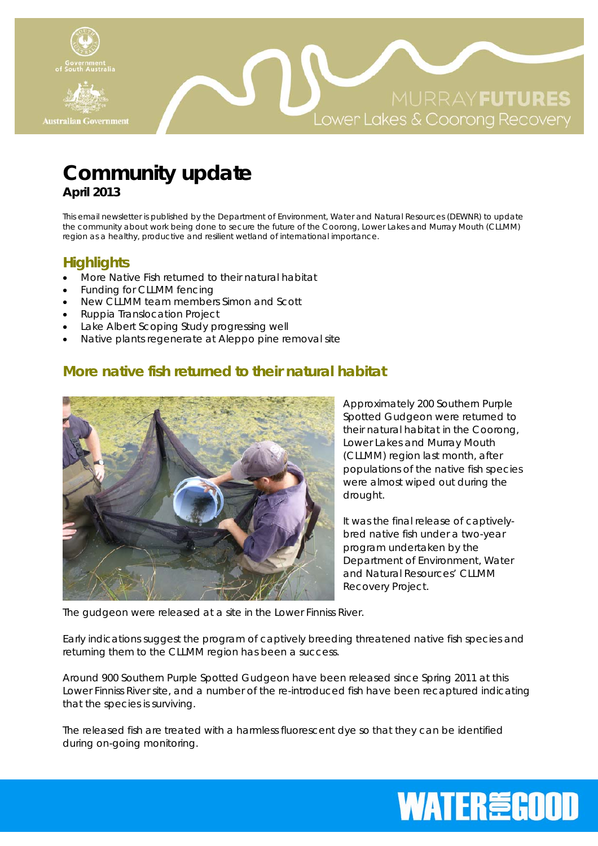

## **Community update April 2013**

This email newsletter is published by the Department of Environment, Water and Natural Resources (DEWNR) to update the community about work being done to secure the future of the Coorong, Lower Lakes and Murray Mouth (CLLMM) region as a healthy, productive and resilient wetland of international importance.

#### **Highlights**

- More Native Fish returned to their natural habitat
- Funding for CLLMM fencing
- New CLLMM team members Simon and Scott
- Ruppia Translocation Project
- Lake Albert Scoping Study progressing well
- Native plants regenerate at Aleppo pine removal site

## **More native fish returned to their natural habitat**



Approximately 200 Southern Purple Spotted Gudgeon were returned to their natural habitat in the Coorong, Lower Lakes and Murray Mouth (CLLMM) region last month, after populations of the native fish species were almost wiped out during the drought.

It was the final release of captivelybred native fish under a two-year program undertaken by the Department of Environment, Water and Natural Resources' CLLMM Recovery Project.

The gudgeon were released at a site in the Lower Finniss River.

Early indications suggest the program of captively breeding threatened native fish species and returning them to the CLLMM region has been a success.

Around 900 Southern Purple Spotted Gudgeon have been released since Spring 2011 at this Lower Finniss River site, and a number of the re-introduced fish have been recaptured indicating that the species is surviving.

The released fish are treated with a harmless fluorescent dye so that they can be identified during on-going monitoring.

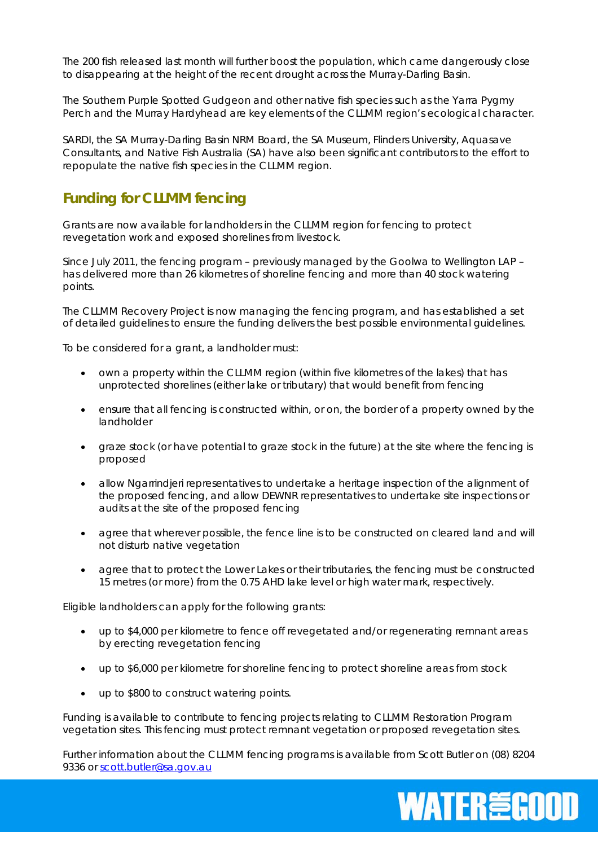The 200 fish released last month will further boost the population, which came dangerously close to disappearing at the height of the recent drought across the Murray-Darling Basin.

The Southern Purple Spotted Gudgeon and other native fish species such as the Yarra Pygmy Perch and the Murray Hardyhead are key elements of the CLLMM region's ecological character.

SARDI, the SA Murray-Darling Basin NRM Board, the SA Museum, Flinders University, Aquasave Consultants, and Native Fish Australia (SA) have also been significant contributors to the effort to repopulate the native fish species in the CLLMM region.

### **Funding for CLLMM fencing**

Grants are now available for landholders in the CLLMM region for fencing to protect revegetation work and exposed shorelines from livestock.

Since July 2011, the fencing program – previously managed by the Goolwa to Wellington LAP – has delivered more than 26 kilometres of shoreline fencing and more than 40 stock watering points.

The CLLMM Recovery Project is now managing the fencing program, and has established a set of detailed guidelines to ensure the funding delivers the best possible environmental guidelines.

To be considered for a grant, a landholder must:

- own a property within the CLLMM region (within five kilometres of the lakes) that has unprotected shorelines (either lake or tributary) that would benefit from fencing
- ensure that all fencing is constructed within, or on, the border of a property owned by the landholder
- graze stock (or have potential to graze stock in the future) at the site where the fencing is proposed
- allow Ngarrindjeri representatives to undertake a heritage inspection of the alignment of the proposed fencing, and allow DEWNR representatives to undertake site inspections or audits at the site of the proposed fencing
- agree that wherever possible, the fence line is to be constructed on cleared land and will not disturb native vegetation
- agree that to protect the Lower Lakes or their tributaries, the fencing must be constructed 15 metres (or more) from the 0.75 AHD lake level or high water mark, respectively.

Eligible landholders can apply for the following grants:

- up to \$4,000 per kilometre to fence off revegetated and/or regenerating remnant areas by erecting revegetation fencing
- up to \$6,000 per kilometre for shoreline fencing to protect shoreline areas from stock
- up to \$800 to construct watering points.

Funding is available to contribute to fencing projects relating to CLLMM Restoration Program vegetation sites. This fencing must protect remnant vegetation or proposed revegetation sites.

Further information about the CLLMM fencing programs is available from Scott Butler on (08) 8204 9336 or scott.butler@sa.gov.au

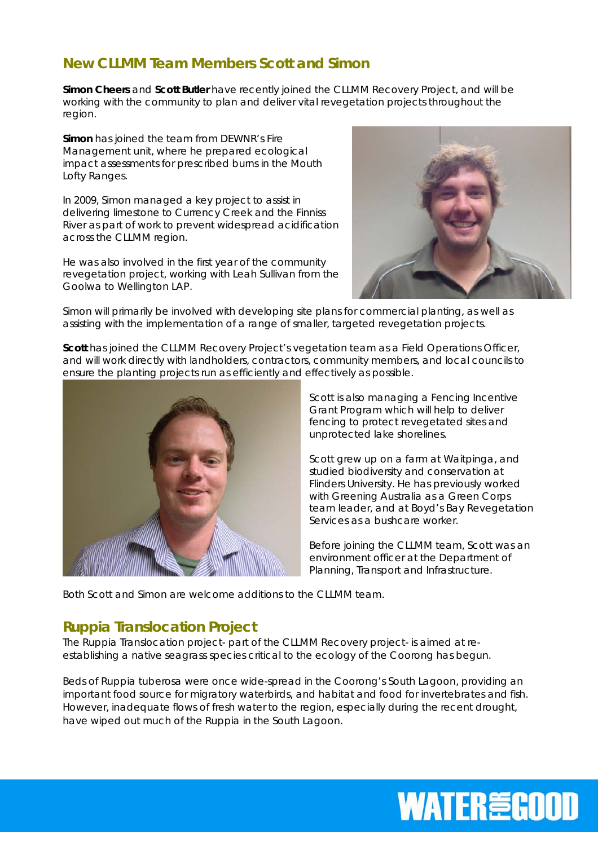## **New CLLMM Team Members Scott and Simon**

**Simon Cheers** and **Scott Butler** have recently joined the CLLMM Recovery Project, and will be working with the community to plan and deliver vital revegetation projects throughout the region.

**Simon** has joined the team from DEWNR's Fire Management unit, where he prepared ecological impact assessments for prescribed burns in the Mouth Lofty Ranges.

In 2009, Simon managed a key project to assist in delivering limestone to Currency Creek and the Finniss River as part of work to prevent widespread acidification across the CLLMM region.

He was also involved in the first year of the community revegetation project, working with Leah Sullivan from the Goolwa to Wellington LAP.



Simon will primarily be involved with developing site plans for commercial planting, as well as assisting with the implementation of a range of smaller, targeted revegetation projects.

**Scott** has joined the CLLMM Recovery Project's vegetation team as a Field Operations Officer, and will work directly with landholders, contractors, community members, and local councils to ensure the planting projects run as efficiently and effectively as possible.



Scott is also managing a Fencing Incentive Grant Program which will help to deliver fencing to protect revegetated sites and unprotected lake shorelines.

Scott grew up on a farm at Waitpinga, and studied biodiversity and conservation at Flinders University. He has previously worked with Greening Australia as a Green Corps team leader, and at Boyd's Bay Revegetation Services as a bushcare worker.

Before joining the CLLMM team, Scott was an environment officer at the Department of Planning, Transport and Infrastructure.

Both Scott and Simon are welcome additions to the CLLMM team.

#### *Ruppia* **Translocation Project**

The Ruppia Translocation project- part of the CLLMM Recovery project- is aimed at reestablishing a native seagrass species critical to the ecology of the Coorong has begun.

Beds of *Ruppia tuberosa* were once wide-spread in the Coorong's South Lagoon, providing an important food source for migratory waterbirds, and habitat and food for invertebrates and fish. However, inadequate flows of fresh water to the region, especially during the recent drought, have wiped out much of the *Ruppia* in the South Lagoon.

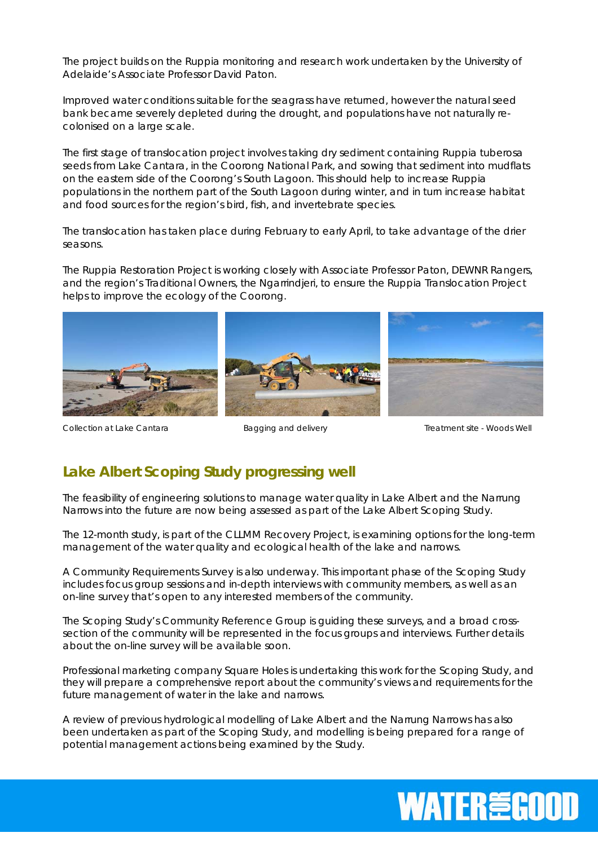The project builds on the *Ruppia* monitoring and research work undertaken by the University of Adelaide's Associate Professor David Paton.

Improved water conditions suitable for the seagrass have returned, however the natural seed bank became severely depleted during the drought, and populations have not naturally recolonised on a large scale.

The first stage of translocation project involves taking dry sediment containing *Ruppia tuberosa* seeds from Lake Cantara, in the Coorong National Park, and sowing that sediment into mudflats on the eastern side of the Coorong's South Lagoon. This should help to increase *Ruppia* populations in the northern part of the South Lagoon during winter, and in turn increase habitat and food sources for the region's bird, fish, and invertebrate species.

The translocation has taken place during February to early April, to take advantage of the drier seasons.

The *Ruppia* Restoration Project is working closely with Associate Professor Paton, DEWNR Rangers, and the region's Traditional Owners, the Ngarrindjeri, to ensure the *Ruppia* Translocation Project helps to improve the ecology of the Coorong.



Collection at Lake CantaraBagging and delivery Treatment site - Woods Well

#### **Lake Albert Scoping Study progressing well**

The feasibility of engineering solutions to manage water quality in Lake Albert and the Narrung Narrows into the future are now being assessed as part of the Lake Albert Scoping Study.

The 12-month study, is part of the CLLMM Recovery Project, is examining options for the long-term management of the water quality and ecological health of the lake and narrows.

A Community Requirements Survey is also underway. This important phase of the Scoping Study includes focus group sessions and in-depth interviews with community members, as well as an on-line survey that's open to any interested members of the community.

The Scoping Study's Community Reference Group is guiding these surveys, and a broad crosssection of the community will be represented in the focus groups and interviews. Further details about the on-line survey will be available soon.

Professional marketing company Square Holes is undertaking this work for the Scoping Study, and they will prepare a comprehensive report about the community's views and requirements for the future management of water in the lake and narrows.

A review of previous hydrological modelling of Lake Albert and the Narrung Narrows has also been undertaken as part of the Scoping Study, and modelling is being prepared for a range of potential management actions being examined by the Study.

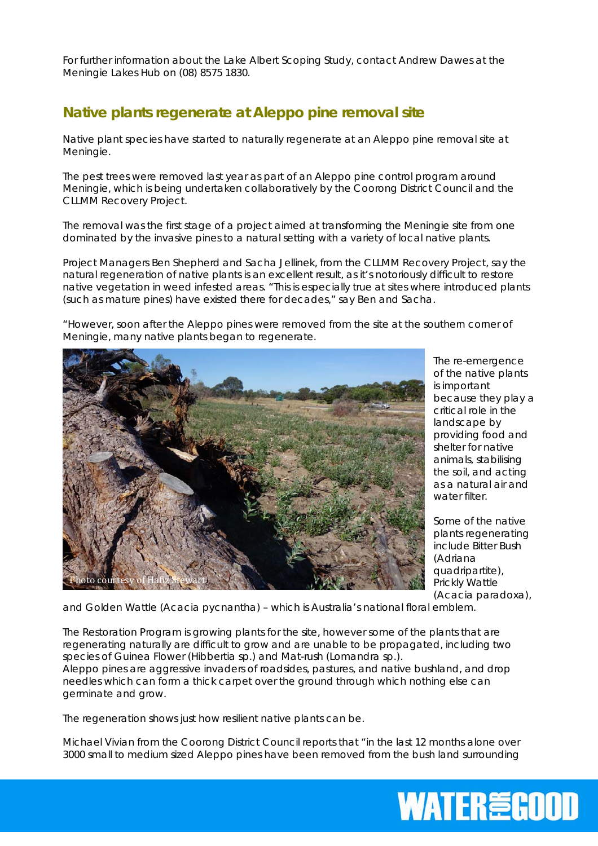For further information about the Lake Albert Scoping Study, contact Andrew Dawes at the Meningie Lakes Hub on (08) 8575 1830.

### **Native plants regenerate at Aleppo pine removal site**

Native plant species have started to naturally regenerate at an Aleppo pine removal site at Meningie.

The pest trees were removed last year as part of an Aleppo pine control program around Meningie, which is being undertaken collaboratively by the Coorong District Council and the CLLMM Recovery Project.

The removal was the first stage of a project aimed at transforming the Meningie site from one dominated by the invasive pines to a natural setting with a variety of local native plants.

Project Managers Ben Shepherd and Sacha Jellinek, from the CLLMM Recovery Project, say the natural regeneration of native plants is an excellent result, as it's notoriously difficult to restore native vegetation in weed infested areas. "This is especially true at sites where introduced plants (such as mature pines) have existed there for decades," say Ben and Sacha.

"However, soon after the Aleppo pines were removed from the site at the southern corner of Meningie, many native plants began to regenerate.



The re-emergence of the native plants is important because they play a critical role in the landscape by providing food and shelter for native animals, stabilising the soil, and acting as a natural air and water filter

Some of the native plants regenerating include Bitter Bush (*Adriana quadripartite*), Prickly Wattle (*Acacia paradoxa*),

and Golden Wattle (*Acacia pycnantha*) – which is Australia's national floral emblem.

The Restoration Program is growing plants for the site, however some of the plants that are regenerating naturally are difficult to grow and are unable to be propagated, including two species of Guinea Flower (*Hibbertia sp.*) and Mat-rush (*Lomandra sp.*).

Aleppo pines are aggressive invaders of roadsides, pastures, and native bushland, and drop needles which can form a thick carpet over the ground through which nothing else can germinate and grow.

The regeneration shows just how resilient native plants can be.

Michael Vivian from the Coorong District Council reports that "in the last 12 months alone over 3000 small to medium sized Aleppo pines have been removed from the bush land surrounding